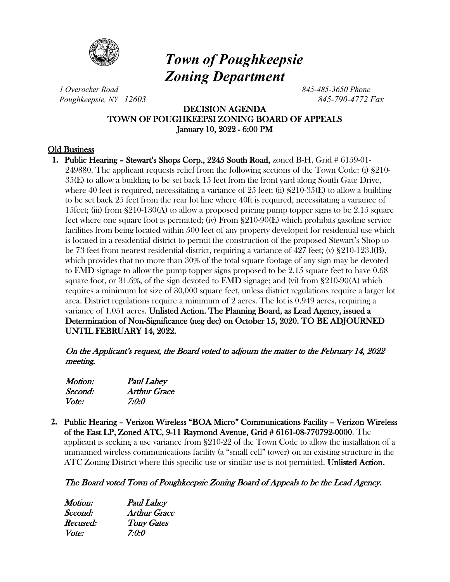

# *Town of Poughkeepsie Zoning Department*

*1 Overocker Road 845-485-3650 Phone Poughkeepsie, NY 12603 845-790-4772 Fax*

# DECISION AGENDA TOWN OF POUGHKEEPSI ZONING BOARD OF APPEALS January 10, 2022 - 6:00 PM

# Old Business

**1.** Public Hearing – Stewart's Shops Corp., 2245 South Road, zoned B-H, Grid # 6159-01- 249880. The applicant requests relief from the following sections of the Town Code: (i) §210- 35(E) to allow a building to be set back 15 feet from the front yard along South Gate Drive, where 40 feet is required, necessitating a variance of 25 feet; (ii)  $\S210-35(E)$  to allow a building to be set back 25 feet from the rear lot line where 40ft is required, necessitating a variance of 15feet; (iii) from  $\S210-130(A)$  to allow a proposed pricing pump topper signs to be 2.15 square feet where one square foot is permitted; (iv) From §210-90(E) which prohibits gasoline service facilities from being located within 500 feet of any property developed for residential use which is located in a residential district to permit the construction of the proposed Stewart's Shop to be 73 feet from nearest residential district, requiring a variance of 427 feet; (v) §210-123.l(B), which provides that no more than 30% of the total square footage of any sign may be devoted to EMD signage to allow the pump topper signs proposed to be 2.15 square feet to have 0.68 square foot, or 31.6%, of the sign devoted to **EMD** signage; and (vi) from  $\S210-90(A)$  which requires a minimum lot size of 30,000 square feet, unless district regulations require a larger lot area. District regulations require a minimum of 2 acres. The lot is 0.949 acres, requiring a variance of 1.051 acres. Unlisted Action. The Planning Board, as Lead Agency, issued a Determination of Non-Significance (neg dec) on October 15, 2020. TO BE ADJOURNED UNTIL FEBRUARY 14, 2022.

On the Applicant's request, the Board voted to adjourn the matter to the February 14, 2022 meeting.

| <i>Motion:</i> | <b>Paul Lahey</b> |
|----------------|-------------------|
| Second:        | Arthur Grace      |
| <i>Vote:</i>   | 7:0:0             |

**2.** Public Hearing – Verizon Wireless "BOA Micro" Communications Facility – Verizon Wireless of the East LP, Zoned ATC, 9-11 Raymond Avenue, Grid # 6161-08-770792-0000. The applicant is seeking a use variance from §210-22 of the Town Code to allow the installation of a unmanned wireless communications facility (a "small cell" tower) on an existing structure in the ATC Zoning District where this specific use or similar use is not permitted. Unlisted Action.

# The Board voted Town of Poughkeepsie Zoning Board of Appeals to be the Lead Agency.

| <b>Paul Lahey</b>   |
|---------------------|
| <b>Arthur Grace</b> |
| <b>Tony Gates</b>   |
| 7:0:0               |
|                     |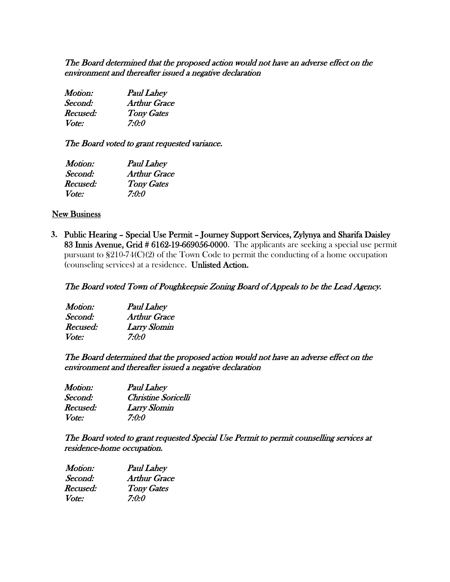The Board determined that the proposed action would not have an adverse effect on the environment and thereafter issued a negative declaration

| Motion:  | <b>Paul Lahey</b>   |
|----------|---------------------|
| Second:  | <b>Arthur Grace</b> |
| Recused: | <b>Tony Gates</b>   |
| Vote:    | 7:0:0               |

The Board voted to grant requested variance.

| <b>Paul Lahey</b>   |
|---------------------|
| <b>Arthur Grace</b> |
| <b>Tony Gates</b>   |
| 7:0:0               |
|                     |

#### **New Business**

**3.** Public Hearing – Special Use Permit – Journey Support Services, Zylynya and Sharifa Daisley 83 Innis Avenue, Grid # 6162-19-669056-0000. The applicants are seeking a special use permit pursuant to §210-74(C)(2) of the Town Code to permit the conducting of a home occupation (counseling services) at a residence. Unlisted Action.

### The Board voted Town of Poughkeepsie Zoning Board of Appeals to be the Lead Agency.

| Motion:      | <b>Paul Lahey</b>   |
|--------------|---------------------|
| Second:      | <b>Arthur Grace</b> |
| Recused:     | Larry Slomin        |
| <i>Vote:</i> | 7:0:0               |

The Board determined that the proposed action would not have an adverse effect on the environment and thereafter issued a negative declaration

| Motion:  | <b>Paul Lahey</b>   |
|----------|---------------------|
| Second:  | Christine Soricelli |
| Recused: | Larry Slomin        |
| Vote:    | 7:0:0               |

The Board voted to grant requested Special Use Permit to permit counselling services at residence-home occupation.

| Motion:  | <b>Paul Lahey</b>   |
|----------|---------------------|
| Second:  | <b>Arthur Grace</b> |
| Recused: | <b>Tony Gates</b>   |
| Vote:    | 7:0:0               |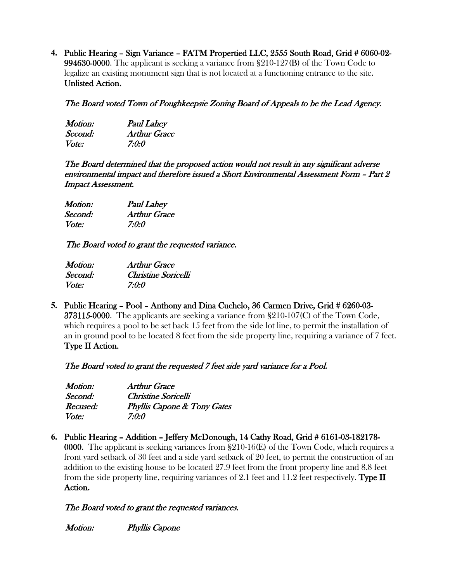**4.** Public Hearing – Sign Variance – FATM Propertied LLC, 2555 South Road, Grid # 6060-02- 994630-0000. The applicant is seeking a variance from §210-127(B) of the Town Code to legalize an existing monument sign that is not located at a functioning entrance to the site. Unlisted Action.

# The Board voted Town of Poughkeepsie Zoning Board of Appeals to be the Lead Agency.

| <i>Motion:</i> | <b>Paul Lahey</b> |
|----------------|-------------------|
| Second:        | Arthur Grace      |
| <i>Vote:</i>   | 7:0:0             |

The Board determined that the proposed action would not result in any significant adverse environmental impact and therefore issued a Short Environmental Assessment Form – Part 2 Impact Assessment.

| Motion:      | <b>Paul Lahey</b>   |
|--------------|---------------------|
| Second:      | <b>Arthur Grace</b> |
| <i>Vote:</i> | 7:0:0               |

The Board voted to grant the requested variance.

| Motion:      | <b>Arthur Grace</b> |
|--------------|---------------------|
| Second:      | Christine Soricelli |
| <i>Vote:</i> | 7:0:0               |

**5.** Public Hearing – Pool – Anthony and Dina Cuchelo, 36 Carmen Drive, Grid # 6260-03- 373115-0000. The applicants are seeking a variance from §210-107(C) of the Town Code, which requires a pool to be set back 15 feet from the side lot line, to permit the installation of an in ground pool to be located 8 feet from the side property line, requiring a variance of 7 feet. Type II Action.

The Board voted to grant the requested 7 feet side yard variance for a Pool.

| Motion:      | Arthur Grace                           |
|--------------|----------------------------------------|
| Second:      | Christine Soricelli                    |
| Recused:     | <b>Phyllis Capone &amp; Tony Gates</b> |
| <i>Vote:</i> | 7:0:0                                  |

**6.** Public Hearing – Addition – Jeffery McDonough, 14 Cathy Road, Grid # 6161-03-182178- 0000. The applicant is seeking variances from §210-16(E) of the Town Code, which requires a front yard setback of 30 feet and a side yard setback of 20 feet, to permit the construction of an addition to the existing house to be located 27.9 feet from the front property line and 8.8 feet from the side property line, requiring variances of 2.1 feet and 11.2 feet respectively. Type  $\rm{II}$ Action.

# The Board voted to grant the requested variances.

Motion: Phyllis Capone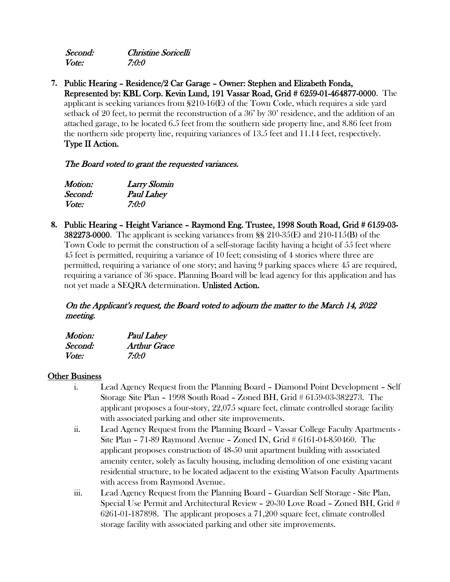| Second: | Christine Soricelli |
|---------|---------------------|
| Vote:   | 7:0:0               |

**7.** Public Hearing – Residence/2 Car Garage – Owner: Stephen and Elizabeth Fonda, Represented by: KBL Corp. Kevin Lund, 191 Vassar Road, Grid # 6259-01-464877-0000. The applicant is seeking variances from §210-16(E) of the Town Code, which requires a side yard setback of 20 feet, to permit the reconstruction of a 36' by 30' residence, and the addition of an attached garage, to be located 6.5 feet from the southern side property line, and 8.86 feet from the northern side property line, requiring variances of 13.5 feet and 11.14 feet, respectively. Type II Action.

# The Board voted to grant the requested variances.

| Motion:      | <b>Larry Slomin</b> |
|--------------|---------------------|
| Second:      | <b>Paul Lahey</b>   |
| <i>Vote:</i> | 7:0:0               |

**8.** Public Hearing – Height Variance – Raymond Eng. Trustee, 1998 South Road, Grid # 6159-03- **382273-0000.** The applicant is seeking variances from  $\S$  210-35(E) and 210-115(B) of the Town Code to permit the construction of a self-storage facility having a height of 55 feet where 45 feet is permitted, requiring a variance of 10 feet; consisting of 4 stories where three are permitted, requiring a variance of one story; and having 9 parking spaces where 45 are required, requiring a variance of 36 space. Planning Board will be lead agency for this application and has not yet made a SEQRA determination. Unlisted Action.

# On the Applicant's request, the Board voted to adjourn the matter to the March 14, 2022 meeting.

| Motion: | <b>Paul Lahey</b>   |
|---------|---------------------|
| Second: | <b>Arthur Grace</b> |
| Vote:   | 7:0:0               |

### Other Business

- i. Lead Agency Request from the Planning Board Diamond Point Development Self Storage Site Plan – 1998 South Road – Zoned BH, Grid # 6159-03-382273. The applicant proposes a four-story, 22,075 square feet, climate controlled storage facility with associated parking and other site improvements.
- ii. Lead Agency Request from the Planning Board Vassar College Faculty Apartments Site Plan – 71-89 Raymond Avenue – Zoned IN, Grid # 6161-04-850460. The applicant proposes construction of 48-50 unit apartment building with associated amenity center, solely as faculty housing, including demolition of one existing vacant residential structure, to be located adjacent to the existing Watson Faculty Apartments with access from Raymond Avenue.
- iii. Lead Agency Request from the Planning Board Guardian Self Storage Site Plan, Special Use Permit and Architectural Review – 20-30 Love Road – Zoned BH, Grid # 6261-01-187898. The applicant proposes a 71,200 square feet, climate controlled storage facility with associated parking and other site improvements.